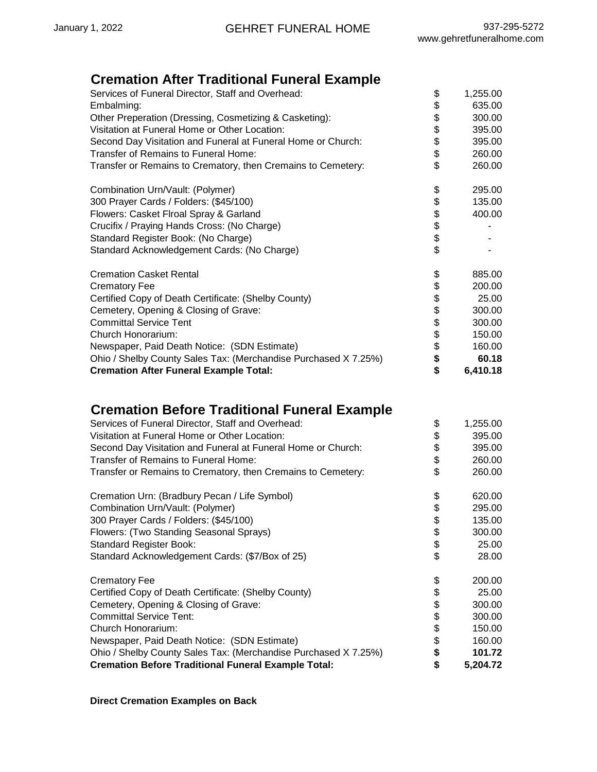## **Cremation After Traditional Funeral Example**

| Services of Funeral Director, Staff and Overhead:               | \$<br>1,255.00 |
|-----------------------------------------------------------------|----------------|
| Embalming:                                                      | \$<br>635.00   |
| Other Preperation (Dressing, Cosmetizing & Casketing):          | \$<br>300.00   |
| Visitation at Funeral Home or Other Location:                   | \$<br>395.00   |
| Second Day Visitation and Funeral at Funeral Home or Church:    | \$<br>395.00   |
| Transfer of Remains to Funeral Home:                            | \$<br>260.00   |
| Transfer or Remains to Crematory, then Cremains to Cemetery:    | \$<br>260.00   |
| Combination Urn/Vault: (Polymer)                                | \$<br>295.00   |
| 300 Prayer Cards / Folders: (\$45/100)                          | \$<br>135.00   |
| Flowers: Casket Flroal Spray & Garland                          | \$<br>400.00   |
| Crucifix / Praying Hands Cross: (No Charge)                     | \$             |
| Standard Register Book: (No Charge)                             | \$             |
| Standard Acknowledgement Cards: (No Charge)                     | \$             |
| <b>Cremation Casket Rental</b>                                  | \$<br>885.00   |
| <b>Crematory Fee</b>                                            | \$<br>200.00   |
| Certified Copy of Death Certificate: (Shelby County)            | \$<br>25.00    |
| Cemetery, Opening & Closing of Grave:                           | \$<br>300.00   |
| <b>Committal Service Tent</b>                                   | \$<br>300.00   |
| Church Honorarium:                                              | \$<br>150.00   |
| Newspaper, Paid Death Notice: (SDN Estimate)                    | \$<br>160.00   |
| Ohio / Shelby County Sales Tax: (Merchandise Purchased X 7.25%) | \$<br>60.18    |
| <b>Cremation After Funeral Example Total:</b>                   | \$<br>6,410.18 |

# **Cremation Before Traditional Funeral Example**

| Services of Funeral Director, Staff and Overhead:               | \$<br>1,255.00 |
|-----------------------------------------------------------------|----------------|
| Visitation at Funeral Home or Other Location:                   | \$<br>395.00   |
| Second Day Visitation and Funeral at Funeral Home or Church:    | \$<br>395.00   |
| Transfer of Remains to Funeral Home:                            | \$<br>260.00   |
| Transfer or Remains to Crematory, then Cremains to Cemetery:    | \$<br>260.00   |
| Cremation Urn: (Bradbury Pecan / Life Symbol)                   | \$<br>620.00   |
| Combination Urn/Vault: (Polymer)                                | \$<br>295.00   |
| 300 Prayer Cards / Folders: (\$45/100)                          | \$<br>135.00   |
| Flowers: (Two Standing Seasonal Sprays)                         | \$<br>300.00   |
| <b>Standard Register Book:</b>                                  | \$<br>25.00    |
| Standard Acknowledgement Cards: (\$7/Box of 25)                 | \$<br>28.00    |
| <b>Crematory Fee</b>                                            | \$<br>200.00   |
| Certified Copy of Death Certificate: (Shelby County)            | \$<br>25.00    |
| Cemetery, Opening & Closing of Grave:                           | \$<br>300.00   |
| <b>Committal Service Tent:</b>                                  | \$<br>300.00   |
| Church Honorarium:                                              | \$<br>150.00   |
| Newspaper, Paid Death Notice: (SDN Estimate)                    | \$<br>160.00   |
| Ohio / Shelby County Sales Tax: (Merchandise Purchased X 7.25%) | \$<br>101.72   |
| <b>Cremation Before Traditional Funeral Example Total:</b>      | \$<br>5,204.72 |

**Direct Cremation Examples on Back**